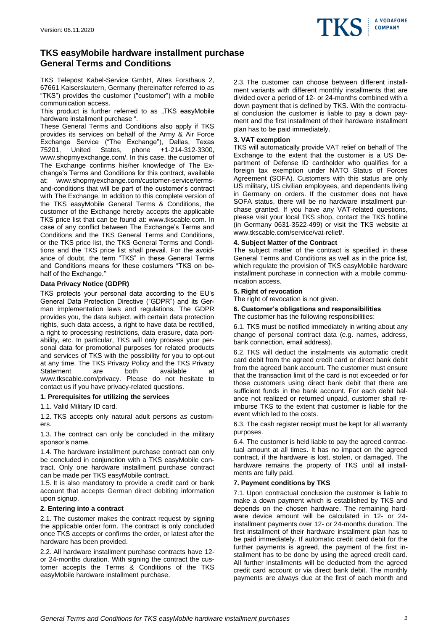

# **TKS easyMobile hardware installment purchase General Terms and Conditions**

TKS Telepost Kabel-Service GmbH, Altes Forsthaus 2, 67661 Kaiserslautern, Germany (hereinafter referred to as "TKS") provides the customer ("customer") with a mobile communication access.

This product is further referred to as "TKS easyMobile hardware installment purchase ".

These General Terms and Conditions also apply if TKS provides its services on behalf of the Army & Air Force Exchange Service ("The Exchange"), Dallas, Texas 75201, United States, phone +1-214-312-3300, www.shopmyexchange.com/. In this case, the customer of The Exchange confirms his/her knowledge of The Exchange's Terms and Conditions for this contract, available at: www.shopmyexchange.com/customer-service/termsand-conditions that will be part of the customer's contract with The Exchange. In addition to this complete version of the TKS easyMobile General Terms & Conditions, the customer of the Exchange hereby accepts the applicable TKS price list that can be found at: www.tkscable.com. In case of any conflict between The Exchange's Terms and Conditions and the TKS General Terms and Conditions, or the TKS price list, the TKS General Terms and Conditions and the TKS price list shall prevail. For the avoidance of doubt, the term "TKS" in these General Terms and Conditions means for these costumers "TKS on behalf of the Exchange."

## **Data Privacy Notice (GDPR)**

TKS protects your personal data according to the EU's General Data Protection Directive ("GDPR") and its German implementation laws and regulations. The GDPR provides you, the data subject, with certain data protection rights, such data access, a right to have data be rectified, a right to processing restrictions, data erasure, data portability, etc. In particular, TKS will only process your personal data for promotional purposes for related products and services of TKS with the possibility for you to opt-out at any time. The TKS Privacy Policy and the TKS Privacy Statement are both available at www.tkscable.com/privacy. Please do not hesitate to contact us if you have privacy-related questions.

## **1. Prerequisites for utilizing the services**

1.1. Valid Military ID card.

1.2. TKS accepts only natural adult persons as customers.

1.3. The contract can only be concluded in the military sponsor's name.

1.4. The hardware installment purchase contract can only be concluded in conjunction with a TKS easyMobile contract. Only one hardware installment purchase contract can be made per TKS easyMobile contract.

1.5. It is also mandatory to provide a credit card or bank account that accepts German direct debiting information upon signup.

#### **2. Entering into a contract**

2.1. The customer makes the contract request by signing the applicable order form. The contract is only concluded once TKS accepts or confirms the order, or latest after the hardware has been provided.

2.2. All hardware installment purchase contracts have 12 or 24-months duration. With signing the contract the customer accepts the Terms & Conditions of the TKS easyMobile hardware installment purchase.

2.3. The customer can choose between different installment variants with different monthly installments that are divided over a period of 12- or 24-months combined with a down payment that is defined by TKS. With the contractual conclusion the customer is liable to pay a down payment and the first installment of their hardware installment plan has to be paid immediately.

## **3. VAT exemption**

TKS will automatically provide VAT relief on behalf of The Exchange to the extent that the customer is a US Department of Defense ID cardholder who qualifies for a foreign tax exemption under NATO Status of Forces Agreement (SOFA). Customers with this status are only US military, US civilian employees, and dependents living in Germany on orders. If the customer does not have SOFA status, there will be no hardware installment purchase granted. If you have any VAT-related questions, please visit your local TKS shop, contact the TKS hotline (in Germany 0631-3522-499) or visit the TKS website at www.tkscable.com/service/vat-relief/.

#### **4. Subject Matter of the Contract**

The subject matter of the contract is specified in these General Terms and Conditions as well as in the price list, which regulate the provision of TKS easyMobile hardware installment purchase in connection with a mobile communication access.

## **5. Right of revocation**

The right of revocation is not given.

## **6. Customer's obligations and responsibilities**

The customer has the following responsibilities:

6.1. TKS must be notified immediately in writing about any change of personal contract data (e.g. names, address, bank connection, email address).

6.2. TKS will deduct the instalments via automatic credit card debit from the agreed credit card or direct bank debit from the agreed bank account. The customer must ensure that the transaction limit of the card is not exceeded or for those customers using direct bank debit that there are sufficient funds in the bank account. For each debit balance not realized or returned unpaid, customer shall reimburse TKS to the extent that customer is liable for the event which led to the costs.

6.3. The cash register receipt must be kept for all warranty purposes.

6.4. The customer is held liable to pay the agreed contractual amount at all times. It has no impact on the agreed contract, if the hardware is lost, stolen, or damaged. The hardware remains the property of TKS until all installments are fully paid.

## **7. Payment conditions by TKS**

7.1. Upon contractual conclusion the customer is liable to make a down payment which is established by TKS and depends on the chosen hardware. The remaining hardware device amount will be calculated in 12- or 24 installment payments over 12- or 24-months duration. The first installment of their hardware installment plan has to be paid immediately. If automatic credit card debit for the further payments is agreed, the payment of the first installment has to be done by using the agreed credit card. All further installments will be deducted from the agreed credit card account or via direct bank debit. The monthly payments are always due at the first of each month and